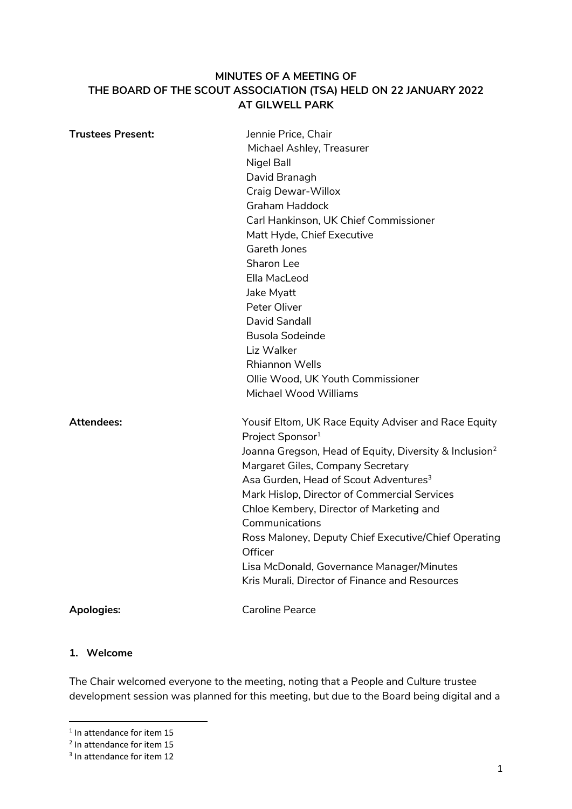## **MINUTES OF A MEETING OF THE BOARD OF THE SCOUT ASSOCIATION (TSA) HELD ON 22 JANUARY 2022 AT GILWELL PARK**

| <b>Trustees Present:</b> | Jennie Price, Chair<br>Michael Ashley, Treasurer<br><b>Nigel Ball</b><br>David Branagh<br><b>Craig Dewar-Willox</b><br><b>Graham Haddock</b><br>Carl Hankinson, UK Chief Commissioner<br>Matt Hyde, Chief Executive |
|--------------------------|---------------------------------------------------------------------------------------------------------------------------------------------------------------------------------------------------------------------|
|                          | Gareth Jones<br>Sharon Lee                                                                                                                                                                                          |
|                          | Ella MacLeod                                                                                                                                                                                                        |
|                          | Jake Myatt                                                                                                                                                                                                          |
|                          | Peter Oliver                                                                                                                                                                                                        |
|                          | David Sandall                                                                                                                                                                                                       |
|                          | <b>Busola Sodeinde</b>                                                                                                                                                                                              |
|                          | Liz Walker                                                                                                                                                                                                          |
|                          | <b>Rhiannon Wells</b>                                                                                                                                                                                               |
|                          | Ollie Wood, UK Youth Commissioner                                                                                                                                                                                   |
|                          | Michael Wood Williams                                                                                                                                                                                               |
| <b>Attendees:</b>        | Yousif Eltom, UK Race Equity Adviser and Race Equity<br>Project Sponsor <sup>1</sup>                                                                                                                                |
|                          | Joanna Gregson, Head of Equity, Diversity & Inclusion <sup>2</sup><br>Margaret Giles, Company Secretary                                                                                                             |
|                          | Asa Gurden, Head of Scout Adventures <sup>3</sup>                                                                                                                                                                   |
|                          | Mark Hislop, Director of Commercial Services                                                                                                                                                                        |
|                          | Chloe Kembery, Director of Marketing and                                                                                                                                                                            |
|                          | Communications                                                                                                                                                                                                      |
|                          | Ross Maloney, Deputy Chief Executive/Chief Operating<br>Officer                                                                                                                                                     |
|                          | Lisa McDonald, Governance Manager/Minutes                                                                                                                                                                           |
|                          | Kris Murali, Director of Finance and Resources                                                                                                                                                                      |
| <b>Apologies:</b>        | <b>Caroline Pearce</b>                                                                                                                                                                                              |

### **1. Welcome**

The Chair welcomed everyone to the meeting, noting that a People and Culture trustee development session was planned for this meeting, but due to the Board being digital and a

**In attendance for item 15** 

<sup>&</sup>lt;sup>2</sup> In attendance for item 15

<sup>&</sup>lt;sup>3</sup> In attendance for item 12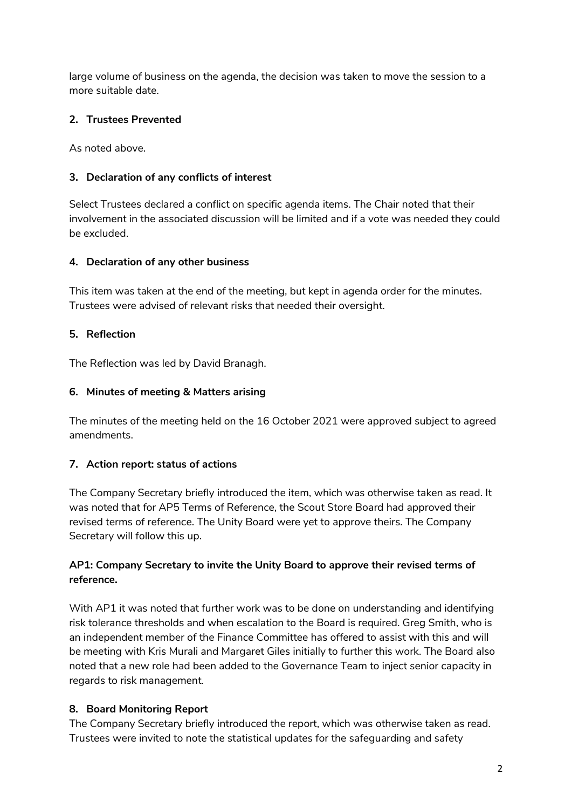large volume of business on the agenda, the decision was taken to move the session to a more suitable date.

# **2. Trustees Prevented**

As noted above.

### **3. Declaration of any conflicts of interest**

Select Trustees declared a conflict on specific agenda items. The Chair noted that their involvement in the associated discussion will be limited and if a vote was needed they could be excluded.

### **4. Declaration of any other business**

This item was taken at the end of the meeting, but kept in agenda order for the minutes. Trustees were advised of relevant risks that needed their oversight.

### **5. Reflection**

The Reflection was led by David Branagh.

### **6. Minutes of meeting & Matters arising**

The minutes of the meeting held on the 16 October 2021 were approved subject to agreed amendments.

### **7. Action report: status of actions**

The Company Secretary briefly introduced the item, which was otherwise taken as read. It was noted that for AP5 Terms of Reference, the Scout Store Board had approved their revised terms of reference. The Unity Board were yet to approve theirs. The Company Secretary will follow this up.

### **AP1: Company Secretary to invite the Unity Board to approve their revised terms of reference.**

With AP1 it was noted that further work was to be done on understanding and identifying risk tolerance thresholds and when escalation to the Board is required. Greg Smith, who is an independent member of the Finance Committee has offered to assist with this and will be meeting with Kris Murali and Margaret Giles initially to further this work. The Board also noted that a new role had been added to the Governance Team to inject senior capacity in regards to risk management.

### **8. Board Monitoring Report**

The Company Secretary briefly introduced the report, which was otherwise taken as read. Trustees were invited to note the statistical updates for the safeguarding and safety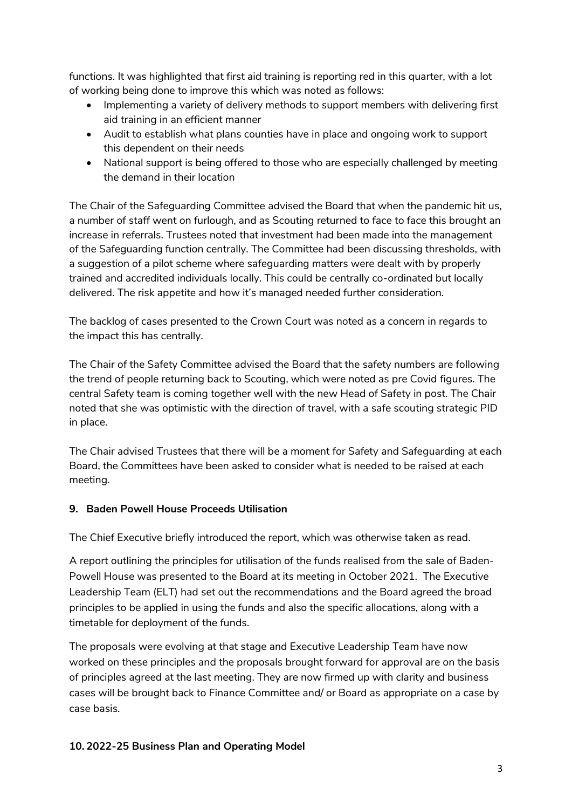functions. It was highlighted that first aid training is reporting red in this quarter, with a lot of working being done to improve this which was noted as follows:

- Implementing a variety of delivery methods to support members with delivering first aid training in an efficient manner
- Audit to establish what plans counties have in place and ongoing work to support this dependent on their needs
- National support is being offered to those who are especially challenged by meeting the demand in their location

The Chair of the Safeguarding Committee advised the Board that when the pandemic hit us, a number of staff went on furlough, and as Scouting returned to face to face this brought an increase in referrals. Trustees noted that investment had been made into the management of the Safeguarding function centrally. The Committee had been discussing thresholds, with a suggestion of a pilot scheme where safeguarding matters were dealt with by properly trained and accredited individuals locally. This could be centrally co-ordinated but locally delivered. The risk appetite and how it's managed needed further consideration.

The backlog of cases presented to the Crown Court was noted as a concern in regards to the impact this has centrally.

The Chair of the Safety Committee advised the Board that the safety numbers are following the trend of people returning back to Scouting, which were noted as pre Covid figures. The central Safety team is coming together well with the new Head of Safety in post. The Chair noted that she was optimistic with the direction of travel, with a safe scouting strategic PID in place.

The Chair advised Trustees that there will be a moment for Safety and Safeguarding at each Board, the Committees have been asked to consider what is needed to be raised at each meeting.

### **9. Baden Powell House Proceeds Utilisation**

The Chief Executive briefly introduced the report, which was otherwise taken as read.

A report outlining the principles for utilisation of the funds realised from the sale of Baden-Powell House was presented to the Board at its meeting in October 2021. The Executive Leadership Team (ELT) had set out the recommendations and the Board agreed the broad principles to be applied in using the funds and also the specific allocations, along with a timetable for deployment of the funds.

The proposals were evolving at that stage and Executive Leadership Team have now worked on these principles and the proposals brought forward for approval are on the basis of principles agreed at the last meeting. They are now firmed up with clarity and business cases will be brought back to Finance Committee and/ or Board as appropriate on a case by case basis.

#### **10. 2022-25 Business Plan and Operating Model**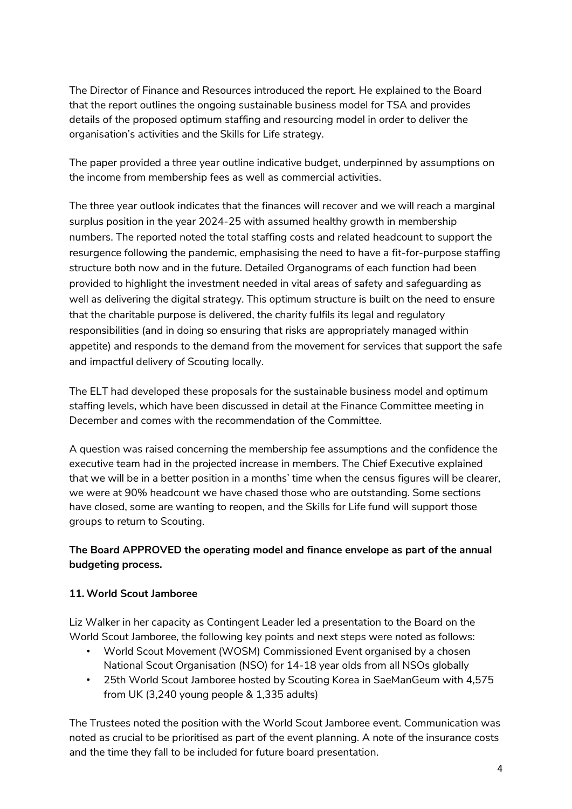The Director of Finance and Resources introduced the report. He explained to the Board that the report outlines the ongoing sustainable business model for TSA and provides details of the proposed optimum staffing and resourcing model in order to deliver the organisation's activities and the Skills for Life strategy.

The paper provided a three year outline indicative budget, underpinned by assumptions on the income from membership fees as well as commercial activities.

The three year outlook indicates that the finances will recover and we will reach a marginal surplus position in the year 2024-25 with assumed healthy growth in membership numbers. The reported noted the total staffing costs and related headcount to support the resurgence following the pandemic, emphasising the need to have a fit-for-purpose staffing structure both now and in the future. Detailed Organograms of each function had been provided to highlight the investment needed in vital areas of safety and safeguarding as well as delivering the digital strategy. This optimum structure is built on the need to ensure that the charitable purpose is delivered, the charity fulfils its legal and regulatory responsibilities (and in doing so ensuring that risks are appropriately managed within appetite) and responds to the demand from the movement for services that support the safe and impactful delivery of Scouting locally.

The ELT had developed these proposals for the sustainable business model and optimum staffing levels, which have been discussed in detail at the Finance Committee meeting in December and comes with the recommendation of the Committee.

A question was raised concerning the membership fee assumptions and the confidence the executive team had in the projected increase in members. The Chief Executive explained that we will be in a better position in a months' time when the census figures will be clearer, we were at 90% headcount we have chased those who are outstanding. Some sections have closed, some are wanting to reopen, and the Skills for Life fund will support those groups to return to Scouting.

# **The Board APPROVED the operating model and finance envelope as part of the annual budgeting process.**

# **11. World Scout Jamboree**

Liz Walker in her capacity as Contingent Leader led a presentation to the Board on the World Scout Jamboree, the following key points and next steps were noted as follows:

- World Scout Movement (WOSM) Commissioned Event organised by a chosen National Scout Organisation (NSO) for 14-18 year olds from all NSOs globally
- 25th World Scout Jamboree hosted by Scouting Korea in SaeManGeum with 4,575 from UK (3,240 young people & 1,335 adults)

The Trustees noted the position with the World Scout Jamboree event. Communication was noted as crucial to be prioritised as part of the event planning. A note of the insurance costs and the time they fall to be included for future board presentation.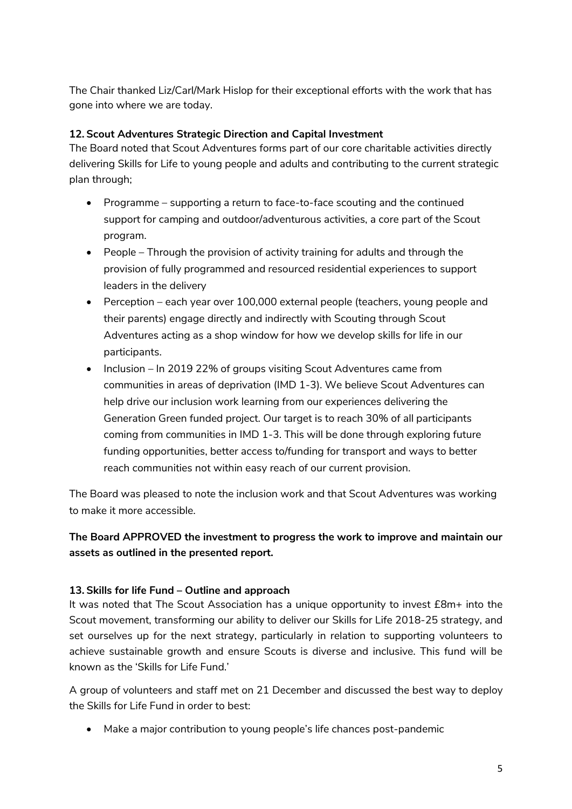The Chair thanked Liz/Carl/Mark Hislop for their exceptional efforts with the work that has gone into where we are today.

## **12. Scout Adventures Strategic Direction and Capital Investment**

The Board noted that Scout Adventures forms part of our core charitable activities directly delivering Skills for Life to young people and adults and contributing to the current strategic plan through;

- Programme supporting a return to face-to-face scouting and the continued support for camping and outdoor/adventurous activities, a core part of the Scout program.
- People Through the provision of activity training for adults and through the provision of fully programmed and resourced residential experiences to support leaders in the delivery
- Perception each year over 100,000 external people (teachers, young people and their parents) engage directly and indirectly with Scouting through Scout Adventures acting as a shop window for how we develop skills for life in our participants.
- Inclusion In 2019 22% of groups visiting Scout Adventures came from communities in areas of deprivation (IMD 1-3). We believe Scout Adventures can help drive our inclusion work learning from our experiences delivering the Generation Green funded project. Our target is to reach 30% of all participants coming from communities in IMD 1-3. This will be done through exploring future funding opportunities, better access to/funding for transport and ways to better reach communities not within easy reach of our current provision.

The Board was pleased to note the inclusion work and that Scout Adventures was working to make it more accessible.

# **The Board APPROVED the investment to progress the work to improve and maintain our assets as outlined in the presented report.**

### **13. Skills for life Fund – Outline and approach**

It was noted that The Scout Association has a unique opportunity to invest £8m+ into the Scout movement, transforming our ability to deliver our Skills for Life 2018-25 strategy, and set ourselves up for the next strategy, particularly in relation to supporting volunteers to achieve sustainable growth and ensure Scouts is diverse and inclusive. This fund will be known as the 'Skills for Life Fund.'

A group of volunteers and staff met on 21 December and discussed the best way to deploy the Skills for Life Fund in order to best:

Make a major contribution to young people's life chances post-pandemic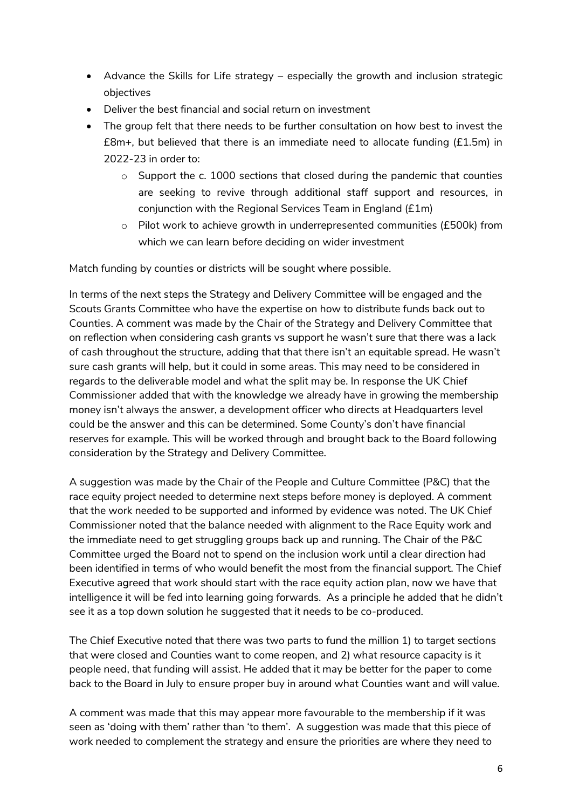- Advance the Skills for Life strategy especially the growth and inclusion strategic objectives
- Deliver the best financial and social return on investment
- The group felt that there needs to be further consultation on how best to invest the  $£8m+$ , but believed that there is an immediate need to allocate funding  $(E1.5m)$  in 2022-23 in order to:
	- o Support the c. 1000 sections that closed during the pandemic that counties are seeking to revive through additional staff support and resources, in conjunction with the Regional Services Team in England (£1m)
	- o Pilot work to achieve growth in underrepresented communities (£500k) from which we can learn before deciding on wider investment

Match funding by counties or districts will be sought where possible.

In terms of the next steps the Strategy and Delivery Committee will be engaged and the Scouts Grants Committee who have the expertise on how to distribute funds back out to Counties. A comment was made by the Chair of the Strategy and Delivery Committee that on reflection when considering cash grants vs support he wasn't sure that there was a lack of cash throughout the structure, adding that that there isn't an equitable spread. He wasn't sure cash grants will help, but it could in some areas. This may need to be considered in regards to the deliverable model and what the split may be. In response the UK Chief Commissioner added that with the knowledge we already have in growing the membership money isn't always the answer, a development officer who directs at Headquarters level could be the answer and this can be determined. Some County's don't have financial reserves for example. This will be worked through and brought back to the Board following consideration by the Strategy and Delivery Committee.

A suggestion was made by the Chair of the People and Culture Committee (P&C) that the race equity project needed to determine next steps before money is deployed. A comment that the work needed to be supported and informed by evidence was noted. The UK Chief Commissioner noted that the balance needed with alignment to the Race Equity work and the immediate need to get struggling groups back up and running. The Chair of the P&C Committee urged the Board not to spend on the inclusion work until a clear direction had been identified in terms of who would benefit the most from the financial support. The Chief Executive agreed that work should start with the race equity action plan, now we have that intelligence it will be fed into learning going forwards. As a principle he added that he didn't see it as a top down solution he suggested that it needs to be co-produced.

The Chief Executive noted that there was two parts to fund the million 1) to target sections that were closed and Counties want to come reopen, and 2) what resource capacity is it people need, that funding will assist. He added that it may be better for the paper to come back to the Board in July to ensure proper buy in around what Counties want and will value.

A comment was made that this may appear more favourable to the membership if it was seen as 'doing with them' rather than 'to them'. A suggestion was made that this piece of work needed to complement the strategy and ensure the priorities are where they need to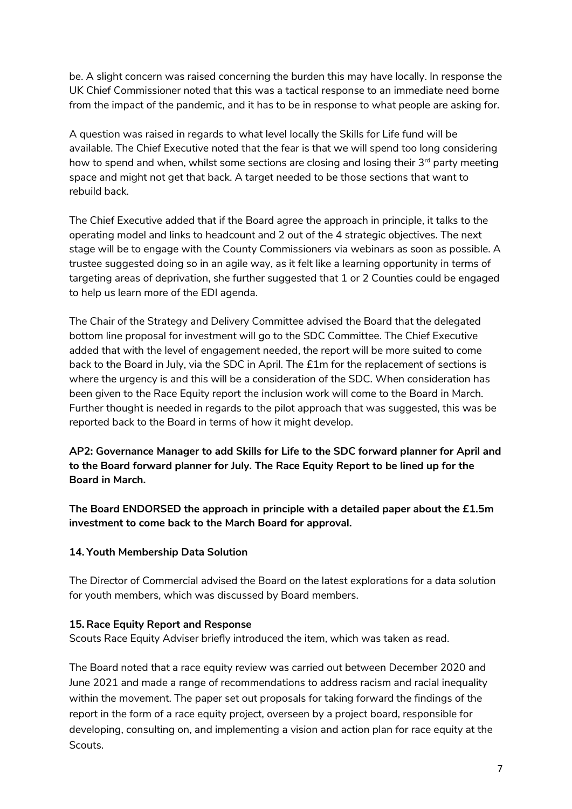be. A slight concern was raised concerning the burden this may have locally. In response the UK Chief Commissioner noted that this was a tactical response to an immediate need borne from the impact of the pandemic, and it has to be in response to what people are asking for.

A question was raised in regards to what level locally the Skills for Life fund will be available. The Chief Executive noted that the fear is that we will spend too long considering how to spend and when, whilst some sections are closing and losing their  $3<sup>rd</sup>$  party meeting space and might not get that back. A target needed to be those sections that want to rebuild back.

The Chief Executive added that if the Board agree the approach in principle, it talks to the operating model and links to headcount and 2 out of the 4 strategic objectives. The next stage will be to engage with the County Commissioners via webinars as soon as possible. A trustee suggested doing so in an agile way, as it felt like a learning opportunity in terms of targeting areas of deprivation, she further suggested that 1 or 2 Counties could be engaged to help us learn more of the EDI agenda.

The Chair of the Strategy and Delivery Committee advised the Board that the delegated bottom line proposal for investment will go to the SDC Committee. The Chief Executive added that with the level of engagement needed, the report will be more suited to come back to the Board in July, via the SDC in April. The £1m for the replacement of sections is where the urgency is and this will be a consideration of the SDC. When consideration has been given to the Race Equity report the inclusion work will come to the Board in March. Further thought is needed in regards to the pilot approach that was suggested, this was be reported back to the Board in terms of how it might develop.

**AP2: Governance Manager to add Skills for Life to the SDC forward planner for April and to the Board forward planner for July. The Race Equity Report to be lined up for the Board in March.** 

**The Board ENDORSED the approach in principle with a detailed paper about the £1.5m investment to come back to the March Board for approval.**

### **14. Youth Membership Data Solution**

The Director of Commercial advised the Board on the latest explorations for a data solution for youth members, which was discussed by Board members.

#### **15. Race Equity Report and Response**

Scouts Race Equity Adviser briefly introduced the item, which was taken as read.

The Board noted that a race equity review was carried out between December 2020 and June 2021 and made a range of recommendations to address racism and racial inequality within the movement. The paper set out proposals for taking forward the findings of the report in the form of a race equity project, overseen by a project board, responsible for developing, consulting on, and implementing a vision and action plan for race equity at the Scouts.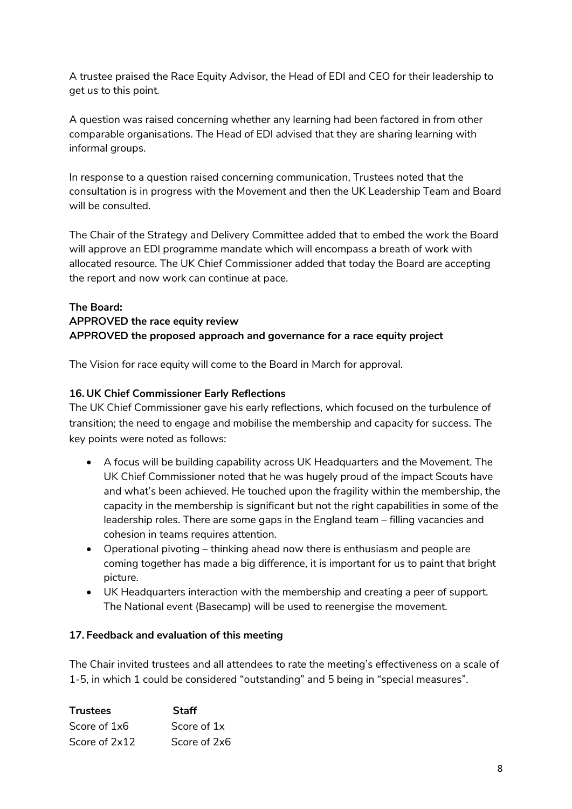A trustee praised the Race Equity Advisor, the Head of EDI and CEO for their leadership to get us to this point.

A question was raised concerning whether any learning had been factored in from other comparable organisations. The Head of EDI advised that they are sharing learning with informal groups.

In response to a question raised concerning communication, Trustees noted that the consultation is in progress with the Movement and then the UK Leadership Team and Board will be consulted.

The Chair of the Strategy and Delivery Committee added that to embed the work the Board will approve an EDI programme mandate which will encompass a breath of work with allocated resource. The UK Chief Commissioner added that today the Board are accepting the report and now work can continue at pace.

# **The Board: APPROVED the race equity review APPROVED the proposed approach and governance for a race equity project**

The Vision for race equity will come to the Board in March for approval.

### **16. UK Chief Commissioner Early Reflections**

The UK Chief Commissioner gave his early reflections, which focused on the turbulence of transition; the need to engage and mobilise the membership and capacity for success. The key points were noted as follows:

- A focus will be building capability across UK Headquarters and the Movement. The UK Chief Commissioner noted that he was hugely proud of the impact Scouts have and what's been achieved. He touched upon the fragility within the membership, the capacity in the membership is significant but not the right capabilities in some of the leadership roles. There are some gaps in the England team – filling vacancies and cohesion in teams requires attention.
- Operational pivoting thinking ahead now there is enthusiasm and people are coming together has made a big difference, it is important for us to paint that bright picture.
- UK Headquarters interaction with the membership and creating a peer of support. The National event (Basecamp) will be used to reenergise the movement.

#### **17. Feedback and evaluation of this meeting**

The Chair invited trustees and all attendees to rate the meeting's effectiveness on a scale of 1-5, in which 1 could be considered "outstanding" and 5 being in "special measures".

| <b>Trustees</b> | Staff        |
|-----------------|--------------|
| Score of 1x6    | Score of 1x  |
| Score of 2x12   | Score of 2x6 |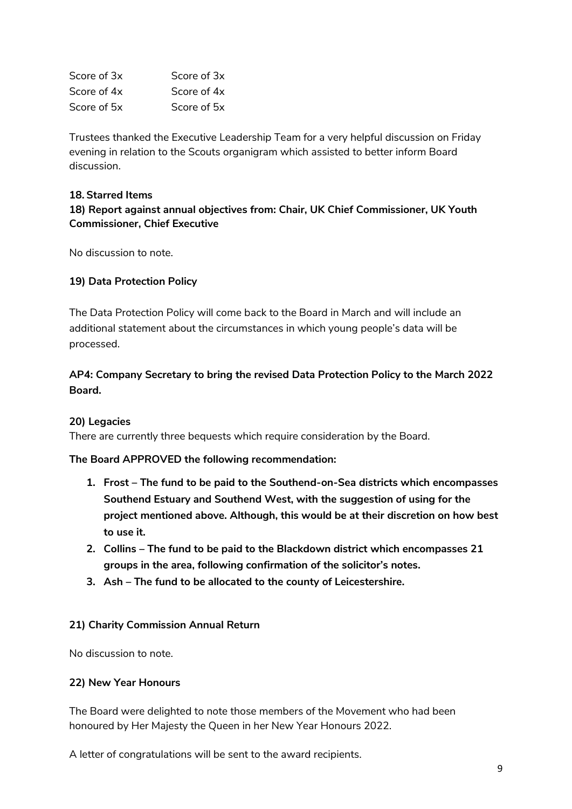| Score of 3x | Score of 3x |
|-------------|-------------|
| Score of 4x | Score of 4x |
| Score of 5x | Score of 5x |

Trustees thanked the Executive Leadership Team for a very helpful discussion on Friday evening in relation to the Scouts organigram which assisted to better inform Board discussion.

#### **18. Starred Items**

## **18) Report against annual objectives from: Chair, UK Chief Commissioner, UK Youth Commissioner, Chief Executive**

No discussion to note.

### **19) Data Protection Policy**

The Data Protection Policy will come back to the Board in March and will include an additional statement about the circumstances in which young people's data will be processed.

# **AP4: Company Secretary to bring the revised Data Protection Policy to the March 2022 Board.**

#### **20) Legacies**

There are currently three bequests which require consideration by the Board.

**The Board APPROVED the following recommendation:** 

- **1. Frost – The fund to be paid to the Southend-on-Sea districts which encompasses Southend Estuary and Southend West, with the suggestion of using for the project mentioned above. Although, this would be at their discretion on how best to use it.**
- **2. Collins – The fund to be paid to the Blackdown district which encompasses 21 groups in the area, following confirmation of the solicitor's notes.**
- **3. Ash – The fund to be allocated to the county of Leicestershire.**

#### **21) Charity Commission Annual Return**

No discussion to note.

#### **22) New Year Honours**

The Board were delighted to note those members of the Movement who had been honoured by Her Majesty the Queen in her New Year Honours 2022.

A letter of congratulations will be sent to the award recipients.